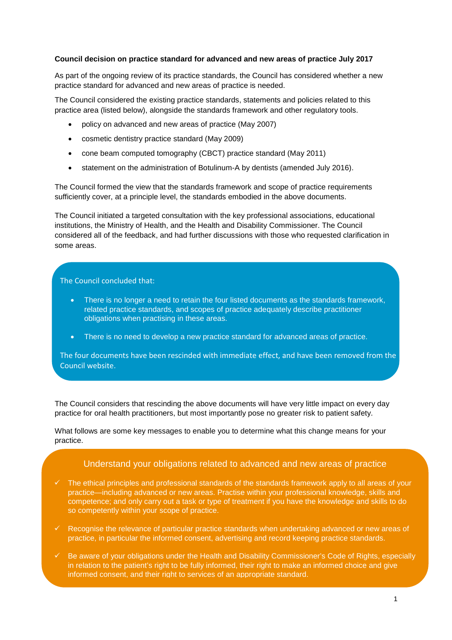#### **Council decision on practice standard for advanced and new areas of practice July 2017**

As part of the ongoing review of its practice standards, the Council has considered whether a new practice standard for advanced and new areas of practice is needed.

The Council considered the existing practice standards, statements and policies related to this practice area (listed below), alongside the standards framework and other regulatory tools.

- policy on advanced and new areas of practice (May 2007)
- cosmetic dentistry practice standard (May 2009)
- cone beam computed tomography (CBCT) practice standard (May 2011)
- statement on the administration of Botulinum-A by dentists (amended July 2016).

The Council formed the view that the standards framework and scope of practice requirements sufficiently cover, at a principle level, the standards embodied in the above documents.

The Council initiated a targeted consultation with the key professional associations, educational institutions, the Ministry of Health, and the Health and Disability Commissioner. The Council considered all of the feedback, and had further discussions with those who requested clarification in some areas.

## The Council concluded that:

- There is no longer a need to retain the four listed documents as the standards framework, related practice standards, and scopes of practice adequately describe practitioner obligations when practising in these areas.
- There is no need to develop a new practice standard for advanced areas of practice.

The four documents have been rescinded with immediate effect, and have been removed from the Council website.

The Council considers that rescinding the above documents will have very little impact on every day practice for oral health practitioners, but most importantly pose no greater risk to patient safety.

What follows are some key messages to enable you to determine what this change means for your practice.

# Understand your obligations related to advanced and new areas of practice

- The ethical principles and professional standards of the standards framework apply to all areas of your practice—including advanced or new areas. Practise within your professional knowledge, skills and competence; and only carry out a task or type of treatment if you have the knowledge and skills to do so competently within your scope of practice.
- $\checkmark$  Recognise the relevance of particular practice standards when undertaking advanced or new areas of practice, in particular the informed consent, advertising and record keeping practice standards.
- $\checkmark$  Be aware of your obligations under the Health and Disability Commissioner's Code of Rights, especially in relation to the patient's right to be fully informed, their right to make an informed choice and give informed consent, and their right to services of an appropriate standard.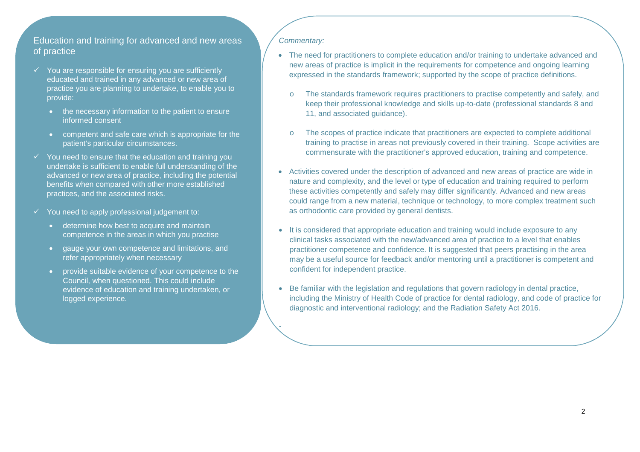# Education and training for advanced and new areas of practice

- You are responsible for ensuring you are sufficiently educated and trained in any advanced or new area of practice you are planning to undertake, to enable you to provide:
	- the necessary information to the patient to ensure informed consent
	- competent and safe care which is appropriate for the patient's particular circumstances.
- $\checkmark$  You need to ensure that the education and training you<br>wedertake is outfisient to enable full understanding of the undertake is sufficient to enable full understanding of the advanced or new area of practice, including the potential benefits when compared with other more established practices, and the associated risks.
- $\checkmark$  You need to apply professional judgement to:
	- determine how best to acquire and maintain competence in the areas in which you practise
	- • gauge your own competence and limitations, and refer appropriately when necessary
	- provide suitable evidence of your competence to theCouncil, when questioned. This could include evidence of education and training undertaken, or logged experience.

## Commentary:

•

- The need for practitioners to complete education and/or training to undertake advanced and new areas of practice is implicit in the requirements for competence and ongoing learning expressed in the standards framework; supported by the scope of practice definitions.
	- The standards framework requires practitioners to practise competently and safely, and keep their professional knowledge and skills up-to-date (professional standards 8 and 11, and associated guidance).
	- o The scopes of practice indicate that practitioners are expected to complete additional training to practise in areas not previously covered in their training. Scope activities are commensurate with the practitioner's approved education, training and competence.
- Activities covered under the description of advanced and new areas of practice are wide in nature and complexity, and the level or type of education and training required to perform these activities competently and safely may differ significantly. Advanced and new areas could range from a new material, technique or technology, to more complex treatment such as orthodontic care provided by general dentists.
- It is considered that appropriate education and training would include exposure to any clinical tasks associated with the new/advanced area of practice to a level that enables practitioner competence and confidence. It is suggested that peers practising in the area may be a useful source for feedback and/or mentoring until a practitioner is competent and confident for independent practice.
- Be familiar with the legislation and regulations that govern radiology in dental practice, including the Ministry of Health Code of practice for dental radiology, and code of practice for diagnostic and interventional radiology; and the Radiation Safety Act 2016.